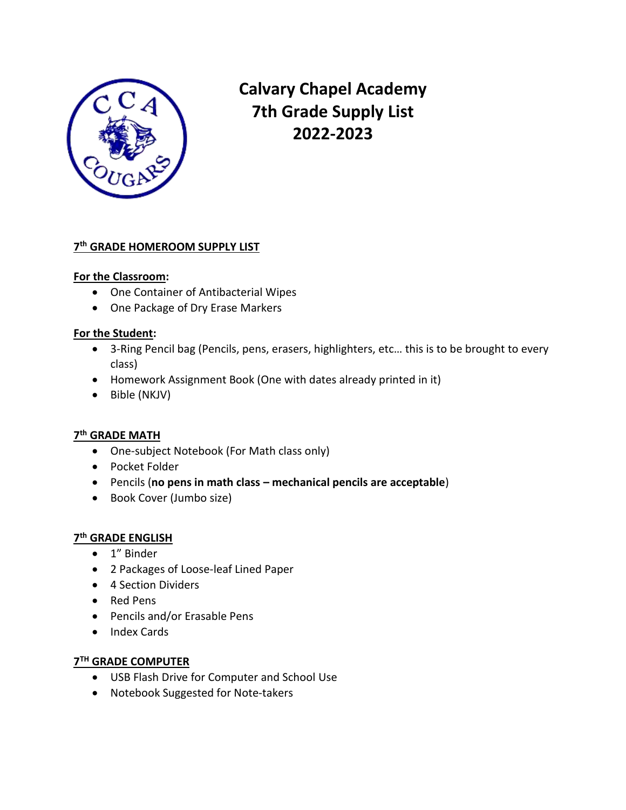

**Calvary Chapel Academy 7th Grade Supply List 2022-2023**

#### **7 th GRADE HOMEROOM SUPPLY LIST**

#### **For the Classroom:**

- One Container of Antibacterial Wipes
- One Package of Dry Erase Markers

#### **For the Student:**

- 3-Ring Pencil bag (Pencils, pens, erasers, highlighters, etc… this is to be brought to every class)
- Homework Assignment Book (One with dates already printed in it)
- Bible (NKJV)

### **7 th GRADE MATH**

- One-subject Notebook (For Math class only)
- Pocket Folder
- Pencils (**no pens in math class – mechanical pencils are acceptable**)
- Book Cover (Jumbo size)

# **7 th GRADE ENGLISH**

- 1" Binder
- 2 Packages of Loose-leaf Lined Paper
- 4 Section Dividers
- Red Pens
- Pencils and/or Erasable Pens
- Index Cards

## **7 TH GRADE COMPUTER**

- USB Flash Drive for Computer and School Use
- Notebook Suggested for Note-takers